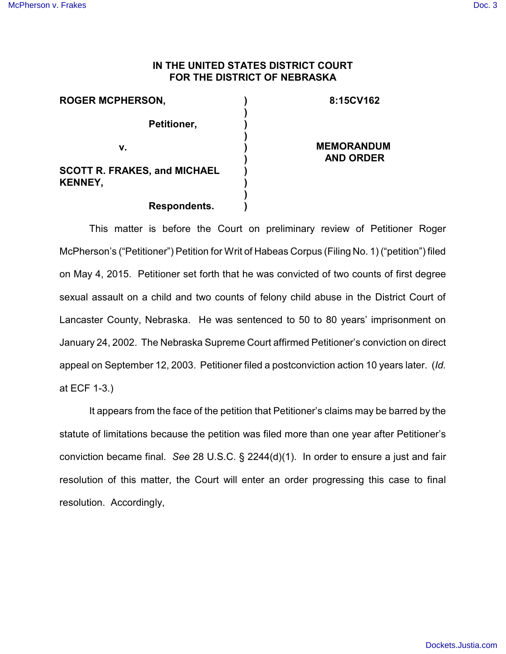## **IN THE UNITED STATES DISTRICT COURT FOR THE DISTRICT OF NEBRASKA**

| <b>ROGER MCPHERSON,</b>                               | 8:15CV162                             |
|-------------------------------------------------------|---------------------------------------|
| Petitioner,                                           |                                       |
| v.                                                    | <b>MEMORANDUM</b><br><b>AND ORDER</b> |
| <b>SCOTT R. FRAKES, and MICHAEL</b><br><b>KENNEY,</b> |                                       |
| Respondents.                                          |                                       |

## **Respondents.**

This matter is before the Court on preliminary review of Petitioner Roger McPherson's ("Petitioner") Petition for Writ of Habeas Corpus (Filing No. 1) ("petition") filed on May 4, 2015. Petitioner set forth that he was convicted of two counts of first degree sexual assault on a child and two counts of felony child abuse in the District Court of Lancaster County, Nebraska. He was sentenced to 50 to 80 years' imprisonment on January 24, 2002. The Nebraska Supreme Court affirmed Petitioner's conviction on direct appeal on September 12, 2003. Petitioner filed a postconviction action 10 years later. (*Id.* at ECF 1-3.)

It appears from the face of the petition that Petitioner's claims may be barred by the statute of limitations because the petition was filed more than one year after Petitioner's conviction became final. *See* 28 U.S.C. § 2244(d)(1). In order to ensure a just and fair resolution of this matter, the Court will enter an order progressing this case to final resolution. Accordingly,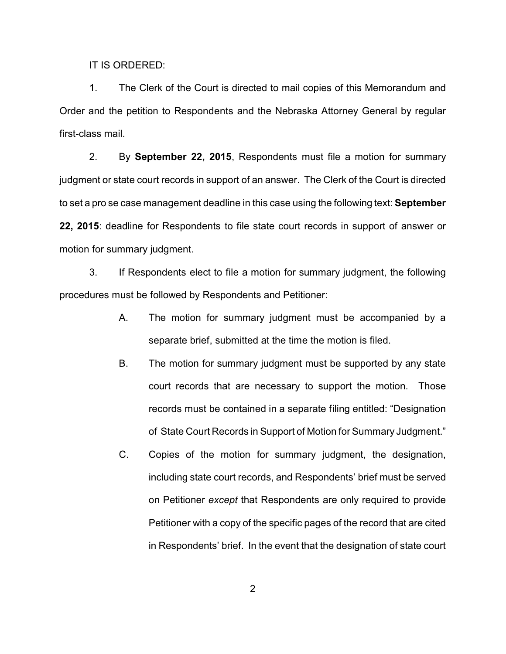IT IS ORDERED:

1. The Clerk of the Court is directed to mail copies of this Memorandum and Order and the petition to Respondents and the Nebraska Attorney General by regular first-class mail.

2. By **September 22, 2015**, Respondents must file a motion for summary judgment or state court records in support of an answer. The Clerk of the Court is directed to set a pro se case management deadline in this case using the following text: **September 22, 2015**: deadline for Respondents to file state court records in support of answer or motion for summary judgment.

3. If Respondents elect to file a motion for summary judgment, the following procedures must be followed by Respondents and Petitioner:

- A. The motion for summary judgment must be accompanied by a separate brief, submitted at the time the motion is filed.
- B. The motion for summary judgment must be supported by any state court records that are necessary to support the motion. Those records must be contained in a separate filing entitled: "Designation of State Court Records in Support of Motion for Summary Judgment."
- C. Copies of the motion for summary judgment, the designation, including state court records, and Respondents' brief must be served on Petitioner *except* that Respondents are only required to provide Petitioner with a copy of the specific pages of the record that are cited in Respondents' brief. In the event that the designation of state court

2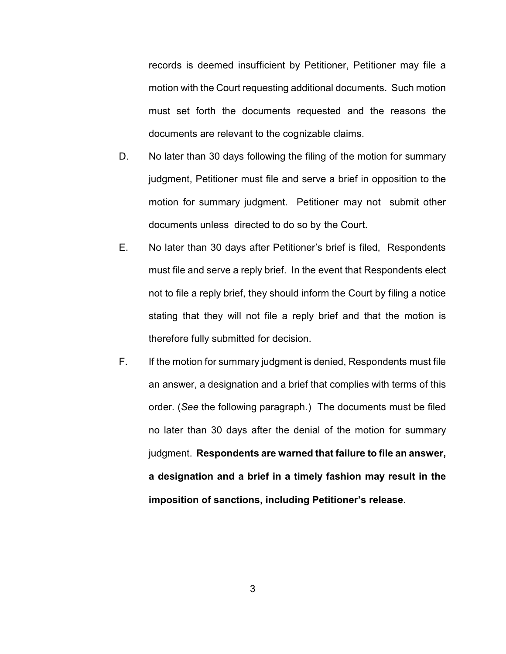records is deemed insufficient by Petitioner, Petitioner may file a motion with the Court requesting additional documents. Such motion must set forth the documents requested and the reasons the documents are relevant to the cognizable claims.

- D. No later than 30 days following the filing of the motion for summary judgment, Petitioner must file and serve a brief in opposition to the motion for summary judgment. Petitioner may not submit other documents unless directed to do so by the Court.
- E. No later than 30 days after Petitioner's brief is filed, Respondents must file and serve a reply brief. In the event that Respondents elect not to file a reply brief, they should inform the Court by filing a notice stating that they will not file a reply brief and that the motion is therefore fully submitted for decision.
- F. If the motion for summary judgment is denied, Respondents must file an answer, a designation and a brief that complies with terms of this order. (*See* the following paragraph.) The documents must be filed no later than 30 days after the denial of the motion for summary judgment. **Respondents are warned that failure to file an answer, a designation and a brief in a timely fashion may result in the imposition of sanctions, including Petitioner's release.**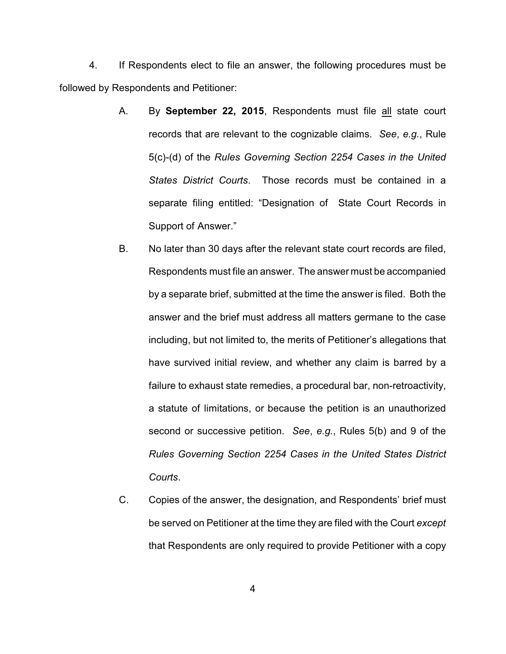4. If Respondents elect to file an answer, the following procedures must be followed by Respondents and Petitioner:

- A. By **September 22, 2015**, Respondents must file all state court records that are relevant to the cognizable claims. *See*, *e.g.*, Rule 5(c)-(d) of the *Rules Governing Section 2254 Cases in the United States District Courts*. Those records must be contained in a separate filing entitled: "Designation of State Court Records in Support of Answer."
- B. No later than 30 days after the relevant state court records are filed, Respondents must file an answer. The answer must be accompanied by a separate brief, submitted at the time the answer is filed. Both the answer and the brief must address all matters germane to the case including, but not limited to, the merits of Petitioner's allegations that have survived initial review, and whether any claim is barred by a failure to exhaust state remedies, a procedural bar, non-retroactivity, a statute of limitations, or because the petition is an unauthorized second or successive petition. *See*, *e.g.*, Rules 5(b) and 9 of the *Rules Governing Section 2254 Cases in the United States District Courts*.
- C. Copies of the answer, the designation, and Respondents' brief must be served on Petitioner at the time they are filed with the Court *except* that Respondents are only required to provide Petitioner with a copy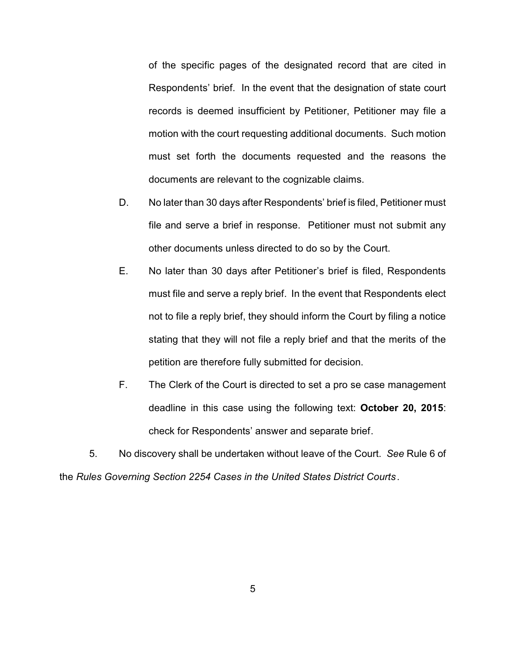of the specific pages of the designated record that are cited in Respondents' brief. In the event that the designation of state court records is deemed insufficient by Petitioner, Petitioner may file a motion with the court requesting additional documents. Such motion must set forth the documents requested and the reasons the documents are relevant to the cognizable claims.

- D. No later than 30 days after Respondents' brief is filed, Petitioner must file and serve a brief in response. Petitioner must not submit any other documents unless directed to do so by the Court.
- E. No later than 30 days after Petitioner's brief is filed, Respondents must file and serve a reply brief. In the event that Respondents elect not to file a reply brief, they should inform the Court by filing a notice stating that they will not file a reply brief and that the merits of the petition are therefore fully submitted for decision.
- F. The Clerk of the Court is directed to set a pro se case management deadline in this case using the following text: **October 20, 2015**: check for Respondents' answer and separate brief.

5. No discovery shall be undertaken without leave of the Court. *See* Rule 6 of the *Rules Governing Section 2254 Cases in the United States District Courts*.